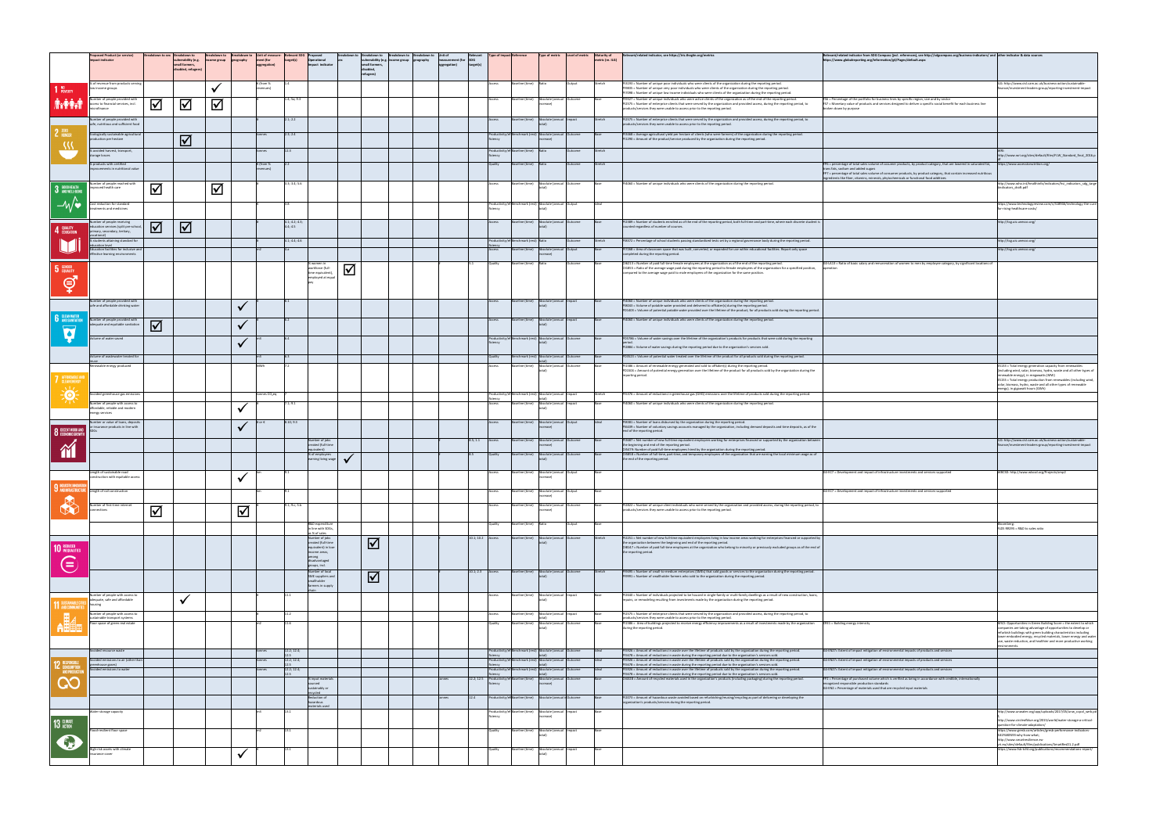|                                                 | <b>'roposed Product (or service)</b><br><b>Impact indicator</b>                                                                                                                                          |                         | Breakdown to sex Breakdown to<br>vulnerability (e.g.<br>small farmers,<br>disabled, refugees) | Breakdown to Breakdown to Unit of measure- Relevant SDC<br>$ income$ group $ geography$ | Iment (for<br>aggregation   | target(s)                                | Proposed<br>Operational<br>Impact indicato                                                                                                   | refugees | Breakdown to  Breakdown to   Breakdown to  Breakdown to  Unit of<br>vulnerability (e.g. income group   geography<br>small farmers, | aggregation | Relevant            | Type of impact Reference  |                                                                                                    | $\vert$ Type of metric $\vert$ Level of metric $\vert$ Maturity of                                                                                                                      |                      | $ $ metric (re. ILG)                | Relevant/related indicator, see https://iris.thegiin.org/metrics                                                                                                                                                                                                                                                                                                                                                                                                                                                                                                                                                                                                                                      | Relevant/related indicator from SDG Compass (jncl. references), see http://sdgcompass.org/business-indicators/ and other indicator & data sources<br>https://www.globalreporting.org/information/g4/Pages/default.aspx                                                                                                                                                           |                                                                                                                                                                                                                                                                                                                                                 |
|-------------------------------------------------|----------------------------------------------------------------------------------------------------------------------------------------------------------------------------------------------------------|-------------------------|-----------------------------------------------------------------------------------------------|-----------------------------------------------------------------------------------------|-----------------------------|------------------------------------------|----------------------------------------------------------------------------------------------------------------------------------------------|----------|------------------------------------------------------------------------------------------------------------------------------------|-------------|---------------------|---------------------------|----------------------------------------------------------------------------------------------------|-----------------------------------------------------------------------------------------------------------------------------------------------------------------------------------------|----------------------|-------------------------------------|-------------------------------------------------------------------------------------------------------------------------------------------------------------------------------------------------------------------------------------------------------------------------------------------------------------------------------------------------------------------------------------------------------------------------------------------------------------------------------------------------------------------------------------------------------------------------------------------------------------------------------------------------------------------------------------------------------|----------------------------------------------------------------------------------------------------------------------------------------------------------------------------------------------------------------------------------------------------------------------------------------------------------------------------------------------------------------------------------|-------------------------------------------------------------------------------------------------------------------------------------------------------------------------------------------------------------------------------------------------------------------------------------------------------------------------------------------------|
| <b>D</b> POVERTY<br><b><i><b>M****</b></i></b>  | % of revenue from products serving<br>low income groups<br>Number of people provided with<br>access to financial services, incl.                                                                         | $\blacktriangledown$    | $\Delta$                                                                                      | $\blacktriangledown$                                                                    | ६ (from %                   | 1.4; 5a; 9.3                             |                                                                                                                                              |          |                                                                                                                                    |             |                     |                           | Baseline (time) Ratio                                                                              | Baseline (time) Absolute (annual Outcome                                                                                                                                                | Output               | <b>IStretch</b><br>lBase            | PI3193 = Number of unique poor individuals who were clients of the organization during the reporting period.<br>PI9835 = Number of unique very poor individuals who were clients of the organization during the reporting period.<br>PI7098 = Number of unique low income individuals who were clients of the organization during the reporting period.<br>PI9327 = Number of unique individuals who were active clients of the organization as of the end of the reporting period.<br>PI2575 = Number of enterprise clients that were served by the organization and provided access, during the reporting period, to<br>products/services they were unable to access prior to the reporting period. | $FS6$ = Percentage of the portfolio for business lines by specific region, size and by sector<br>FS7 = Monetary value of products and services designed to deliver a specific social benefit for each business line<br>broken down by purpose                                                                                                                                    | ILG: http://www.cisl.cam.ac.uk/business-action/sustainable-<br>finance/investment-leaders-group/reporting-investment-impact                                                                                                                                                                                                                     |
| 2ERO                                            | Number of people provided with<br>safe, nutritious and sufficient food<br>Ecologically sustainable agricultural $\vert$<br>production per hectare                                                        |                         | $\boxed{\checkmark}$                                                                          |                                                                                         | Itonnes                     | 2.1; 2.2<br>2.3; 2.4                     |                                                                                                                                              |          |                                                                                                                                    |             |                     | iciency.                  |                                                                                                    | Baseline (time) Absolute (annual Impact<br>Productivity/ef Benchmark (rest) Absolute (annual Outcome<br>increase l                                                                      |                      | <b>IStretch</b>                     | PI2575 = Number of enterprise clients that were served by the organization and provided access, during the reporting period, to<br>products/services they were unable to access prior to the reporting period.<br>PI3468 = Average agricultural yield per hectare of clients (who were farmers) of the organization during the reporting period.<br>PI1290 = Amount of the product/service produced by the organization during the reporting period.                                                                                                                                                                                                                                                  |                                                                                                                                                                                                                                                                                                                                                                                  |                                                                                                                                                                                                                                                                                                                                                 |
|                                                 | % avoided harvest, transport,<br>storage losses<br>% products with certified<br>improvements in nutritional value<br>Number of people reached with                                                       |                         |                                                                                               |                                                                                         | nnnes<br>$\epsilon$ (from % | $\vert 3.3; 3.4; 5.6 \vert$              |                                                                                                                                              |          |                                                                                                                                    |             |                     | iciency                   | Productivity/ef Baseline (time) $\begin{array}{ l l }\n\end{array}$ Ratio<br>Baseline (time) Ratio | Baseline (time) Absolute (annual Outcome                                                                                                                                                | lOutcome<br>lOutcome | <b>IStretch</b><br>Stretch<br>IBase | PI4060 = Number of unique individuals who were clients of the organization during the reporting period.                                                                                                                                                                                                                                                                                                                                                                                                                                                                                                                                                                                               | $FP6$ = percentage of total sales volume of cosumer products, by product category, that are lowered in saturated fat,<br>trans fats, sodium and added sugars<br>$FP7$ = percentage of total sales volume of consumer products, by product category, that contain increased nutritious<br>ingredients like fiber, vitamins, minerals, phytochemicals or functional food additives | http://www.wri.org/sites/default/files/FLW_Standard_final_2016.p<br>https://www.accesstonutrition.org/<br>http://www.who.int/healthinfo/indicators/hsi_indicators_sdg_targe                                                                                                                                                                     |
| 3 GOOD HEALTH<br>$\sim$ M/ $\sim$               | mproved health care<br>Cost reduction for standard                                                                                                                                                       | $\overline{\mathbf{v}}$ |                                                                                               | $\blacktriangledown$                                                                    |                             |                                          |                                                                                                                                              |          |                                                                                                                                    |             |                     |                           |                                                                                                    | Productivity/ef Benchmark (rest) Absolute (annual Output                                                                                                                                |                      | Ideal                               |                                                                                                                                                                                                                                                                                                                                                                                                                                                                                                                                                                                                                                                                                                       |                                                                                                                                                                                                                                                                                                                                                                                  | tindicators_draft.pdf<br>https://www.technologyreview.com/s/518946/technology-the-cure-                                                                                                                                                                                                                                                         |
|                                                 | treatments and medicines<br>Number of people receiving                                                                                                                                                   |                         |                                                                                               |                                                                                         |                             | 4.1; 4.2; 4.3;                           |                                                                                                                                              |          |                                                                                                                                    |             |                     | iciency                   |                                                                                                    | Baseline (time) Absolute (annual Outcome                                                                                                                                                |                      |                                     | PI2389 = Number of students enrolled as of the end of the reporting period, both full-time and part-time, where each discrete student is                                                                                                                                                                                                                                                                                                                                                                                                                                                                                                                                                              |                                                                                                                                                                                                                                                                                                                                                                                  | for-rising-healthcare-costs/<br>http://tcg.uis.unesco.org/                                                                                                                                                                                                                                                                                      |
| 4 QUALITY                                       | education services (split pre-scho<br>primary, secondary, tertiary,<br>■ S students attaining standard for<br>ducation level<br>ducation facilities for inclusive and<br>effective learning environments | $\Delta$                | $\Delta$                                                                                      |                                                                                         |                             | 4.4:4.5<br>4.1; 4.4; 4.6                 |                                                                                                                                              |          |                                                                                                                                    |             |                     | <b>ficiency</b><br>Access | Productivity/ef Benchmark (rest)  Ratio                                                            | Baseline (time) Absolute (annual Output                                                                                                                                                 | Outcome              | Stretch<br><b>IBase</b>             | counted regardless of number of courses.<br>PI8372 = Percentage of school students passing standardized tests set by a regional governance body during the reporting period.<br>PI7268 = Area of classroom space that was built, converted, or expanded for use within educational facilities. Report only space<br>completed during the reporting period.                                                                                                                                                                                                                                                                                                                                            |                                                                                                                                                                                                                                                                                                                                                                                  | http://tcg.uis.unesco.org/<br>http://tcg.uis.unesco.org/                                                                                                                                                                                                                                                                                        |
| 5 GENDER<br>S                                   |                                                                                                                                                                                                          |                         |                                                                                               |                                                                                         |                             |                                          | % women in<br>workforce (full<br>time equivalen<br>employed at equa                                                                          | $\Delta$ |                                                                                                                                    |             |                     | <b>Ouality</b>            | $\vert$ Baseline (time) $\vert$ Ratio                                                              |                                                                                                                                                                                         | lOutcome             | <b>Base</b>                         | OI6213 = Number of paid full-time female employees at the organization as of the end of the reporting period.<br>OI1855 = Ratio of the average wage paid during the reporting period to female employees of the organization for a specified position,<br>compared to the average wage paid to male employees of the organization for the same position.                                                                                                                                                                                                                                                                                                                                              | $\vert$ G4-LA13 = Ratio of basic salary and remuneration of women to men by employee category, by significant locations of                                                                                                                                                                                                                                                       |                                                                                                                                                                                                                                                                                                                                                 |
| <b>C</b> CLEAN WATER<br><b>D</b> AND SANITATION | Number of people provided with<br>safe and affordable drinking water<br>Number of people provided with<br>adequate and equitable sanitation                                                              | $\overline{\mathsf{M}}$ |                                                                                               |                                                                                         |                             |                                          |                                                                                                                                              |          |                                                                                                                                    |             |                     | <b>Access</b>             |                                                                                                    | Baseline (time) Absolute (annual Impact<br>Baseline (time) Absolute (annual Impact                                                                                                      |                      | <b>IBase</b>                        | PI4060 = Number of unique individuals who were clients of the organization during the reporting period.<br>PI8043 = Volume of potable water provided and delivered to offtaker(s) during the reporting period.<br>PD1403 = Volume of potential potable water provided over the lifetime of the product, for all products sold during the reporting period.<br>PI4060 = Number of unique individuals who were clients of the organization during the reporting period.                                                                                                                                                                                                                                 |                                                                                                                                                                                                                                                                                                                                                                                  |                                                                                                                                                                                                                                                                                                                                                 |
| $\overline{\phantom{0}}$                        | Volume of water saved                                                                                                                                                                                    |                         |                                                                                               |                                                                                         |                             |                                          |                                                                                                                                              |          |                                                                                                                                    |             |                     | <b>TICIENCY</b>           |                                                                                                    | Productivity/ef Benchmark (rest) Absolute (annual Outcome                                                                                                                               |                      | <b>IBase</b>                        | PD5786 = Volume of water savings over the lifetime of the organization's products for products that were sold during the reporting<br>PI2884 = Volume of water savings during the reporting period due to the organization's services sold.                                                                                                                                                                                                                                                                                                                                                                                                                                                           |                                                                                                                                                                                                                                                                                                                                                                                  |                                                                                                                                                                                                                                                                                                                                                 |
| AFFORDABLE A<br>CLEAN ENERGY                    | Volume of wastewater treated for<br>Renewable energy produced                                                                                                                                            |                         |                                                                                               |                                                                                         | IMWh                        |                                          |                                                                                                                                              |          |                                                                                                                                    |             |                     | Quality                   |                                                                                                    | Benchmark (rest) Absolute (annual Outcome<br>Baseline (time) Absolute (annual  Outcome                                                                                                  |                      | <b>IBase</b><br><b>Base</b>         | PD3523 = Volume of potential water treated over the lifetime of the product for all products sold during the reporting period.<br>PI1586 = Amount of renewable energy generated and sold to offtaker(s) during the reporting period.<br>PD1504 = Amount of potential energy generation over the lifetime of the product for all products sold by the organization during the<br>reporting period.                                                                                                                                                                                                                                                                                                     |                                                                                                                                                                                                                                                                                                                                                                                  | <b>ES133</b> = Total energy generation capacity from renewables<br>(including wind, solar, biomass, hydro, waste and all other types of<br>renewable energy), in megawatts (MW)<br>$ES155 = Total energy production from renewables (including wind,$<br>solar, biomass, hydro, waste and all other types of renewable                          |
| $\frac{1}{2}$                                   | Avoided greenhouse gas emissions<br>Number of people with access to<br>affordable, reliable and modern<br>energy services                                                                                |                         |                                                                                               |                                                                                         | Itonnes CO <sub>2</sub> ea  | 1; 9.1                                   |                                                                                                                                              |          |                                                                                                                                    |             |                     | ficiency                  |                                                                                                    | Productivity/ef Benchmark (rest) Absolute (annual   Impact<br>Baseline (time) Absolute (annual   Impact                                                                                 |                      | Stretch<br>Base                     | PI5376 = Amount of reductions in greenhouse gas (GHG) emissions over the lifetime of products sold during the reporting period.<br>PI4060 = Number of unique individuals who were clients of the organization during the reporting period.                                                                                                                                                                                                                                                                                                                                                                                                                                                            |                                                                                                                                                                                                                                                                                                                                                                                  | energy), in gigawatt hours (GWh)                                                                                                                                                                                                                                                                                                                |
| <b>8</b> DECENT WORK AND                        | Number or value of loans, deposits<br>or insurance products in line with                                                                                                                                 |                         |                                                                                               |                                                                                         |                             | 8.10; 9.3                                |                                                                                                                                              |          |                                                                                                                                    |             |                     |                           |                                                                                                    | Baseline (time) Absolute (annual Output                                                                                                                                                 |                      | lideal                              | PI8381 = Number of loans disbursed by the organization during the reporting period.<br>PI6439 = Number of voluntary savings accounts managed by the organization, including demand deposits and time deposits, as of the<br>end of the reporting period.                                                                                                                                                                                                                                                                                                                                                                                                                                              |                                                                                                                                                                                                                                                                                                                                                                                  |                                                                                                                                                                                                                                                                                                                                                 |
| M                                               |                                                                                                                                                                                                          |                         |                                                                                               |                                                                                         |                             |                                          | Number of jobs<br>created (full-time<br>equivalent)<br>% of employees                                                                        |          |                                                                                                                                    |             | 8.5; 1.1            | <b>Access</b>             |                                                                                                    | Baseline (time) Absolute (annual Outcome<br>Baseline (time) Absolute (annual Outcome                                                                                                    |                      | IBase                               | PI3687 = Net number of new full-time equivalent employees working for enterprises financed or supported by the organization between<br>the beginning and end of the reporting period.<br>OI5479: Number of paid full-time employees hired by the organization during the reporting period.<br>OI5858 = Number of full-time, part-time, and temporary employees of the organization that are earning the local minimum wage as of                                                                                                                                                                                                                                                                      |                                                                                                                                                                                                                                                                                                                                                                                  | ILG: http://www.cisl.cam.ac.uk/business-action/sustainable-<br>finance/investment-leaders-group/reporting-investment-impact                                                                                                                                                                                                                     |
|                                                 | Length of sustainable road                                                                                                                                                                               |                         |                                                                                               |                                                                                         |                             |                                          | earning living wage                                                                                                                          |          |                                                                                                                                    |             |                     |                           |                                                                                                    | Baseline (time) Absolute (annual Output                                                                                                                                                 |                      | IBase                               | the end of the reporting period.                                                                                                                                                                                                                                                                                                                                                                                                                                                                                                                                                                                                                                                                      | $\big $ G4-EC7 = Development and impact of infrastructure investments and services supported                                                                                                                                                                                                                                                                                     | WBCSD: http://www.wbcsd.org/Projects/smp2                                                                                                                                                                                                                                                                                                       |
| NDUSTRY, INNOVATION                             | construction with equitable access<br>ANDINFRASTRUCTURE Length of rail construction                                                                                                                      |                         |                                                                                               |                                                                                         |                             |                                          |                                                                                                                                              |          |                                                                                                                                    |             |                     |                           |                                                                                                    | Baseline (time) Absolute (annual  Output                                                                                                                                                |                      |                                     |                                                                                                                                                                                                                                                                                                                                                                                                                                                                                                                                                                                                                                                                                                       | $\big $ G4-EC7 = Development and impact of infrastructure investments and services supported                                                                                                                                                                                                                                                                                     |                                                                                                                                                                                                                                                                                                                                                 |
| X                                               | Number of first-time internet<br>connections                                                                                                                                                             | $\overline{\mathsf{M}}$ |                                                                                               | $\Delta$                                                                                |                             | 9.1; 9.c; 5.b                            | R&D expenditure                                                                                                                              |          |                                                                                                                                    |             |                     | Quality                   | $\vert$ Baseline (time) $\vert$ Ratio                                                              | Baseline (time) Absolute (annual Outcome                                                                                                                                                | Output               | lBase<br>IBase                      | PI2822 = Number of unique client individuals who were served by the organization and provided access, during the reporting period, to<br>products/services they were unable to access prior to the reporting period.                                                                                                                                                                                                                                                                                                                                                                                                                                                                                  |                                                                                                                                                                                                                                                                                                                                                                                  | Bloomberg:                                                                                                                                                                                                                                                                                                                                      |
| <b>10 REDUCED</b>                               |                                                                                                                                                                                                          |                         |                                                                                               |                                                                                         |                             |                                          | in line with SDGs,<br>as % of sales<br>Number of jobs<br>created (full-time<br>equivalent) in lov<br>income areas,<br>among<br>disadvantaged |          | $\overline{\phantom{0}}$                                                                                                           |             | $10.1; 10.2$ Access |                           |                                                                                                    | Baseline (time) Absolute (annual Outcome                                                                                                                                                |                      | <b>Stretch</b>                      | PI2251 = Net number of new full-time equivalent employees living in low income areas working for enterprises financed or supported by<br>the organization between the beginning and end of the reporting period.<br>OI8147 = Number of paid full-time employees at the organization who belong to minority or previously excluded groups as of the end of $\vert$<br>the reporting period.                                                                                                                                                                                                                                                                                                            |                                                                                                                                                                                                                                                                                                                                                                                  | FLDS RR295 = R&D to sales ratio                                                                                                                                                                                                                                                                                                                 |
| $\bigoplus$                                     |                                                                                                                                                                                                          |                         |                                                                                               |                                                                                         |                             |                                          | groups, incl.<br>Number of local<br>SME suppliers and<br>smallholder<br>farmers in supply                                                    |          | $\overline{\phantom{0}}$                                                                                                           |             | $10.1; 2.3$ Access  |                           |                                                                                                    | Baseline (time) Absolute (annual Outcome                                                                                                                                                |                      | <b>Stretch</b>                      | PI9495 = Number of small-to-medium enterprises (SMEs) that sold goods or services to the organization during the reporting period.<br>PI9991 = Number of smallholder farmers who sold to the organization during the reporting period.                                                                                                                                                                                                                                                                                                                                                                                                                                                                |                                                                                                                                                                                                                                                                                                                                                                                  |                                                                                                                                                                                                                                                                                                                                                 |
|                                                 | Number of people with access to<br>adequate, safe and affordable<br>housing                                                                                                                              |                         |                                                                                               |                                                                                         |                             |                                          |                                                                                                                                              |          |                                                                                                                                    |             |                     | Access                    |                                                                                                    | Baseline (time)   Absolute (annual   Impact                                                                                                                                             |                      | IBase                               | PI2640 = Number of individuals projected to be housed in single-family or multi-family dwellings as a result of new construction, loans,<br>repairs, or remodeling resulting from investments made by the organization during the reporting period.                                                                                                                                                                                                                                                                                                                                                                                                                                                   |                                                                                                                                                                                                                                                                                                                                                                                  |                                                                                                                                                                                                                                                                                                                                                 |
| H.                                              | Number of people with access to<br>sustainable transport systems<br>Floor space of green real estate                                                                                                     |                         |                                                                                               |                                                                                         |                             |                                          |                                                                                                                                              |          |                                                                                                                                    |             |                     | Access                    |                                                                                                    | Baseline (time) Absolute (annual limpact<br>Baseline (time) Absolute (annual Outcome                                                                                                    |                      | Base                                | PI2575 = Number of enterprise clients that were served by the organization and provided access, during the reporting period, to<br>products/services they were unable to access prior to the reporting period.<br>PI1586 = Area of buildings projected to receive energy efficiency improvements as a result of investments made by the organization<br>during the reporting period.                                                                                                                                                                                                                                                                                                                  | $CRE1 = Building energy intensity$                                                                                                                                                                                                                                                                                                                                               | MSCI: Opportunities in Green Building Score = the extent to which<br>companies are taking advantage of opportunities to develop or<br>refurbish buildings with green building characteristics including<br>lower embodied energy, recycled materials, lower energy and water<br>use, waste reduction, and healthier and more productive working |
| 2 RESPONSIBL                                    | Avoided resource waste<br>Avoided emissions to air (other than<br>greenhouse gases)<br>Avoided emissions to water                                                                                        |                         |                                                                                               |                                                                                         |                             | 12.2; 12.4;<br>12.2; 12.4;<br>2.2; 12.4; |                                                                                                                                              |          |                                                                                                                                    |             |                     | iciency                   |                                                                                                    | Productivity/ef Benchmark (rest) Absolute (annual   Outcome<br>Productivity/ef Benchmark (rest) Absolute (annual Outcome<br>Productivity/ef Benchmark (rest)  Absolute (annual  Outcome |                      | lldeal l<br><b>I</b> deal<br>Ideal  | PI5926 = Amount of reductions in waste over the lifetime of products sold by the organization during the reporting period.<br>PI5678 = Amount of reductions in waste during the reporting period due to the organization's services sold.<br>PI5926 = Amount of reductions in waste over the lifetime of products sold by the organization during the reporting period.<br>PI5678 = Amount of reductions in waste during the reporting period due to the organization's services sold.<br>PI5926 = Amount of reductions in waste over the lifetime of products sold by the organization during the reporting period.                                                                                  | $\vert$ G4-EN27= Extent of impact mitigation of environmental impacts of products and services<br>G4-EN27= Extent of impact mitigation of environmental impacts of products and services<br>G4-EN27= Extent of impact mitigation of environmental impacts of products and services                                                                                               |                                                                                                                                                                                                                                                                                                                                                 |
|                                                 |                                                                                                                                                                                                          |                         |                                                                                               |                                                                                         |                             |                                          | % input materials<br>sourced<br>sustainably c<br>recvcled<br><b>Reduction of</b>                                                             |          |                                                                                                                                    |             | 12.2; 12.5<br>12.4  | ficiency                  |                                                                                                    | Productivity/ef Baseline (time) Absolute (annual Outcome<br>increase<br>Productivity/ef Baseline (time)   Absolute (annual in Outcome                                                   |                      | <b>Base</b>                         | PI5678 = Amount of reductions in waste during the reporting period due to the organization's services sold.<br>OI4328 = Amount of recycled materials used in the organization's products (including packaging) during the reporting period.<br>PI2073 = Amount of hazardous waste avoided based on refurbishing/reusing/recycling as part of delivering or developing the                                                                                                                                                                                                                                                                                                                             | FP2 = Percentage of purchased volume which is verified as being in accordance with credible, internationally<br>recognized responsible production standards<br>$G4$ -EN2 = Percentage of materials used that are recycled input materials                                                                                                                                        |                                                                                                                                                                                                                                                                                                                                                 |
|                                                 | Water storage capacity                                                                                                                                                                                   |                         |                                                                                               |                                                                                         |                             |                                          | hazardous<br>materials used                                                                                                                  |          |                                                                                                                                    |             |                     | iciency.                  |                                                                                                    | Productivity/ef Baseline (time)   Absolute (annual   Impact                                                                                                                             |                      | <b>IBase</b>                        | organization's products/services during the reporting period.                                                                                                                                                                                                                                                                                                                                                                                                                                                                                                                                                                                                                                         |                                                                                                                                                                                                                                                                                                                                                                                  | http://www.unwater.org/app/uploads/2017/05/unw_ccpol_web.poll                                                                                                                                                                                                                                                                                   |
| 13 GLIMATE                                      | Flood-resilient floor space                                                                                                                                                                              |                         |                                                                                               |                                                                                         |                             |                                          |                                                                                                                                              |          |                                                                                                                                    |             |                     |                           |                                                                                                    | Baseline (time) Absolute (annual   Impact                                                                                                                                               |                      |                                     |                                                                                                                                                                                                                                                                                                                                                                                                                                                                                                                                                                                                                                                                                                       |                                                                                                                                                                                                                                                                                                                                                                                  | http://www.circleofblue.org/2015/world/water-storage-a-critical-<br>question-for-climate-adaptation/<br>https://www.gresb.com/articles/gresb-performance-indicators-<br>%E2%80%93-why-how-what;                                                                                                                                                 |
| EN                                              | High-risk assets with climate<br>insurance cover                                                                                                                                                         |                         |                                                                                               |                                                                                         |                             |                                          |                                                                                                                                              |          |                                                                                                                                    |             |                     |                           |                                                                                                    | Baseline (time)   Absolute (annual   Impact                                                                                                                                             |                      | IBase                               |                                                                                                                                                                                                                                                                                                                                                                                                                                                                                                                                                                                                                                                                                                       |                                                                                                                                                                                                                                                                                                                                                                                  | http://www.smartresilience.eu-<br>vri.eu/sites/default/files/publications/SmartResD1.2.pdf<br>https://www.fsb-tcfd.org/publications/recommendations-report/                                                                                                                                                                                     |